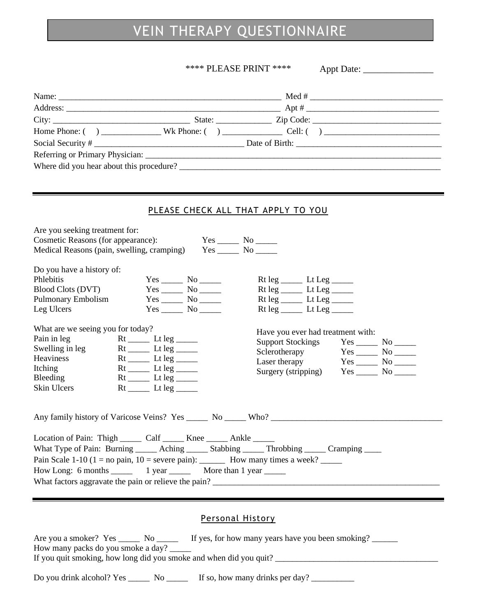### VEIN THERAPY QUESTIONNAIRE

### \*\*\*\* PLEASE PRINT \*\*\*\*

Appt Date: \_\_\_\_\_\_\_\_\_\_\_\_\_\_\_

| Social Security #<br>PLEASE CHECK ALL THAT APPLY TO YOU<br>Are you seeking treatment for:<br>Cosmetic Reasons (for appearance):<br>Medical Reasons (pain, swelling, cramping) Yes ______ No ______ |  |  |  |  |  |  |  |
|----------------------------------------------------------------------------------------------------------------------------------------------------------------------------------------------------|--|--|--|--|--|--|--|
|                                                                                                                                                                                                    |  |  |  |  |  |  |  |
|                                                                                                                                                                                                    |  |  |  |  |  |  |  |
|                                                                                                                                                                                                    |  |  |  |  |  |  |  |
|                                                                                                                                                                                                    |  |  |  |  |  |  |  |
|                                                                                                                                                                                                    |  |  |  |  |  |  |  |
|                                                                                                                                                                                                    |  |  |  |  |  |  |  |
|                                                                                                                                                                                                    |  |  |  |  |  |  |  |
|                                                                                                                                                                                                    |  |  |  |  |  |  |  |
|                                                                                                                                                                                                    |  |  |  |  |  |  |  |
|                                                                                                                                                                                                    |  |  |  |  |  |  |  |
|                                                                                                                                                                                                    |  |  |  |  |  |  |  |
|                                                                                                                                                                                                    |  |  |  |  |  |  |  |
|                                                                                                                                                                                                    |  |  |  |  |  |  |  |
|                                                                                                                                                                                                    |  |  |  |  |  |  |  |
|                                                                                                                                                                                                    |  |  |  |  |  |  |  |
| Do you have a history of:                                                                                                                                                                          |  |  |  |  |  |  |  |
| Phlebitis<br>$Rt leg$ Lt Leg ________                                                                                                                                                              |  |  |  |  |  |  |  |
| Blood Clots (DVT)                                                                                                                                                                                  |  |  |  |  |  |  |  |
| Pulmonary Embolism<br>$Rt leg$ Lt Leg ________                                                                                                                                                     |  |  |  |  |  |  |  |
| Leg Ulcers<br>$Rt leg$ Lt Leg ________                                                                                                                                                             |  |  |  |  |  |  |  |
| What are we seeing you for today?                                                                                                                                                                  |  |  |  |  |  |  |  |
| Have you ever had treatment with:<br>Pain in leg<br>$Rt$ _________ Lt leg ________                                                                                                                 |  |  |  |  |  |  |  |
| Support Stockings Yes _______ No ______<br>Swelling in leg<br>$Rt$ _________ Lt leg ________                                                                                                       |  |  |  |  |  |  |  |
| Sclerotherapy<br>Heaviness<br>$Rt$ _________ Lt leg ________                                                                                                                                       |  |  |  |  |  |  |  |
| Laser therapy<br>Itching                                                                                                                                                                           |  |  |  |  |  |  |  |
| Surgery (stripping) Yes _______ No _______<br>$Rt$ _________ Lt leg ________<br>Bleeding                                                                                                           |  |  |  |  |  |  |  |
| Skin Ulcers                                                                                                                                                                                        |  |  |  |  |  |  |  |
|                                                                                                                                                                                                    |  |  |  |  |  |  |  |
|                                                                                                                                                                                                    |  |  |  |  |  |  |  |
|                                                                                                                                                                                                    |  |  |  |  |  |  |  |
|                                                                                                                                                                                                    |  |  |  |  |  |  |  |
| Location of Pain: Thigh _______ Calf ______ Knee ______ Ankle ______                                                                                                                               |  |  |  |  |  |  |  |
| What Type of Pain: Burning ______ Aching ______ Stabbing _____ Throbbing _____ Cramping _____                                                                                                      |  |  |  |  |  |  |  |
| Pain Scale 1-10 (1 = no pain, 10 = severe pain): ________ How many times a week? ______                                                                                                            |  |  |  |  |  |  |  |
|                                                                                                                                                                                                    |  |  |  |  |  |  |  |
|                                                                                                                                                                                                    |  |  |  |  |  |  |  |
|                                                                                                                                                                                                    |  |  |  |  |  |  |  |
|                                                                                                                                                                                                    |  |  |  |  |  |  |  |
| <b>Personal History</b>                                                                                                                                                                            |  |  |  |  |  |  |  |
|                                                                                                                                                                                                    |  |  |  |  |  |  |  |
| Are you a smoker? Yes _______ No ________ If yes, for how many years have you been smoking? _______                                                                                                |  |  |  |  |  |  |  |
| How many packs do you smoke a day?                                                                                                                                                                 |  |  |  |  |  |  |  |
|                                                                                                                                                                                                    |  |  |  |  |  |  |  |

Do you drink alcohol? Yes \_\_\_\_\_\_ No \_\_\_\_\_\_ If so, how many drinks per day? \_\_\_\_\_\_\_\_\_\_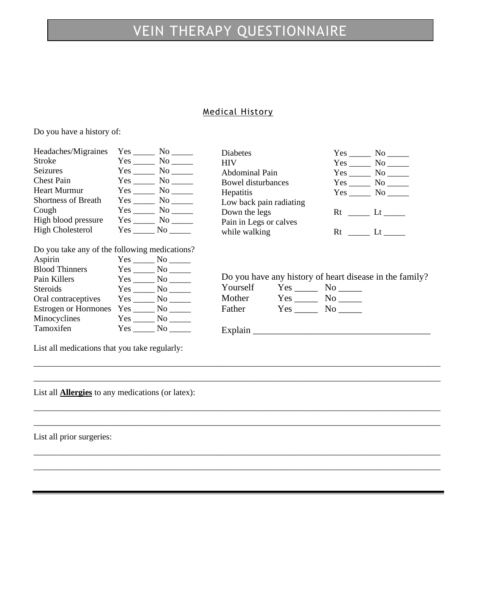## VEIN THERAPY QUESTIONNAIRE

### Medical History

Do you have a history of:

| Headaches/Migraines<br>Stroke<br>Seizures<br><b>Chest Pain</b><br><b>Heart Murmur</b> |  |                    | <b>Diabetes</b><br><b>HIV</b><br>Abdominal Pain<br><b>Bowel disturbances</b><br>Hepatitis |                                 |  | $Yes$ No $\_\_\_\$<br>$Yes$ No $\_\_\_\$<br>$Yes$ No $\_\_\_\$<br>$Yes \_\_\_ No \_\_\_$ |  |  |
|---------------------------------------------------------------------------------------|--|--------------------|-------------------------------------------------------------------------------------------|---------------------------------|--|------------------------------------------------------------------------------------------|--|--|
| <b>Shortness of Breath</b><br>Cough                                                   |  | $Yes$ No $\_\_$    | Low back pain radiating<br>Down the legs                                                  |                                 |  |                                                                                          |  |  |
| High blood pressure                                                                   |  |                    | Pain in Legs or calves                                                                    |                                 |  |                                                                                          |  |  |
| <b>High Cholesterol</b>                                                               |  | $Yes \_ No \_$     | while walking                                                                             |                                 |  |                                                                                          |  |  |
| Do you take any of the following medications?                                         |  |                    |                                                                                           |                                 |  |                                                                                          |  |  |
| Aspirin                                                                               |  | $Yes \_\_ No \_\_$ |                                                                                           |                                 |  |                                                                                          |  |  |
| <b>Blood Thinners</b>                                                                 |  |                    |                                                                                           |                                 |  |                                                                                          |  |  |
| Pain Killers                                                                          |  | Yes No             |                                                                                           |                                 |  | Do you have any history of heart disease in the family?                                  |  |  |
| Steroids                                                                              |  | Yes No             | Yourself                                                                                  | $Yes \_\_\_\_\\$ No $\_\_\_\_\$ |  |                                                                                          |  |  |
| Oral contraceptives                                                                   |  | Yes No             | Mother                                                                                    | $Yes \_\_\_\_$ No $\_\_\_\_\$   |  |                                                                                          |  |  |
| <b>Estrogen or Hormones</b>                                                           |  | Yes No             | Father                                                                                    | $Yes$ No $\_\_\_\$              |  |                                                                                          |  |  |
| Minocyclines                                                                          |  | Yes No             |                                                                                           |                                 |  |                                                                                          |  |  |
| Tamoxifen                                                                             |  | $Yes \_ No \_$     | Explain                                                                                   |                                 |  |                                                                                          |  |  |

\_\_\_\_\_\_\_\_\_\_\_\_\_\_\_\_\_\_\_\_\_\_\_\_\_\_\_\_\_\_\_\_\_\_\_\_\_\_\_\_\_\_\_\_\_\_\_\_\_\_\_\_\_\_\_\_\_\_\_\_\_\_\_\_\_\_\_\_\_\_\_\_\_\_\_\_\_\_\_\_\_\_\_\_\_\_\_\_\_\_\_\_\_\_\_ \_\_\_\_\_\_\_\_\_\_\_\_\_\_\_\_\_\_\_\_\_\_\_\_\_\_\_\_\_\_\_\_\_\_\_\_\_\_\_\_\_\_\_\_\_\_\_\_\_\_\_\_\_\_\_\_\_\_\_\_\_\_\_\_\_\_\_\_\_\_\_\_\_\_\_\_\_\_\_\_\_\_\_\_\_\_\_\_\_\_\_\_\_\_\_

\_\_\_\_\_\_\_\_\_\_\_\_\_\_\_\_\_\_\_\_\_\_\_\_\_\_\_\_\_\_\_\_\_\_\_\_\_\_\_\_\_\_\_\_\_\_\_\_\_\_\_\_\_\_\_\_\_\_\_\_\_\_\_\_\_\_\_\_\_\_\_\_\_\_\_\_\_\_\_\_\_\_\_\_\_\_\_\_\_\_\_\_\_\_\_ \_\_\_\_\_\_\_\_\_\_\_\_\_\_\_\_\_\_\_\_\_\_\_\_\_\_\_\_\_\_\_\_\_\_\_\_\_\_\_\_\_\_\_\_\_\_\_\_\_\_\_\_\_\_\_\_\_\_\_\_\_\_\_\_\_\_\_\_\_\_\_\_\_\_\_\_\_\_\_\_\_\_\_\_\_\_\_\_\_\_\_\_\_\_\_

\_\_\_\_\_\_\_\_\_\_\_\_\_\_\_\_\_\_\_\_\_\_\_\_\_\_\_\_\_\_\_\_\_\_\_\_\_\_\_\_\_\_\_\_\_\_\_\_\_\_\_\_\_\_\_\_\_\_\_\_\_\_\_\_\_\_\_\_\_\_\_\_\_\_\_\_\_\_\_\_\_\_\_\_\_\_\_\_\_\_\_\_\_\_\_ \_\_\_\_\_\_\_\_\_\_\_\_\_\_\_\_\_\_\_\_\_\_\_\_\_\_\_\_\_\_\_\_\_\_\_\_\_\_\_\_\_\_\_\_\_\_\_\_\_\_\_\_\_\_\_\_\_\_\_\_\_\_\_\_\_\_\_\_\_\_\_\_\_\_\_\_\_\_\_\_\_\_\_\_\_\_\_\_\_\_\_\_\_\_\_

List all medications that you take regularly:

List all **Allergies** to any medications (or latex):

List all prior surgeries: